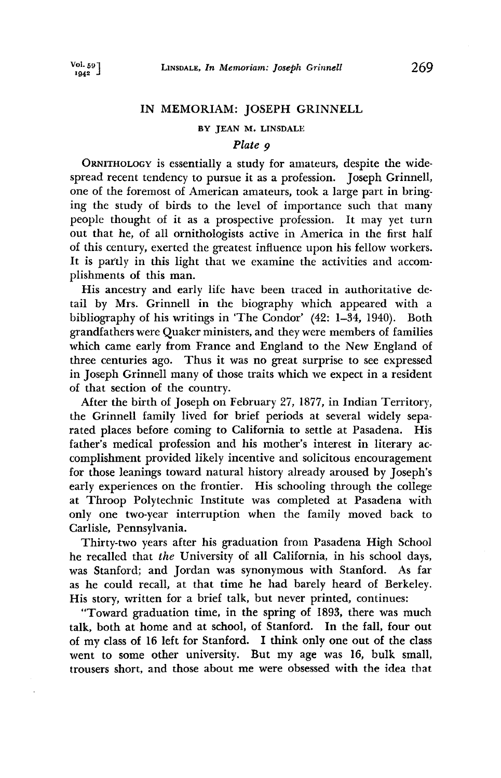## **IN MEMORIAM: JOSEPH GRINNELL**

## **BY JEAN M. LINSDALE**

## **Plate 9**

ORNITHOLOGY is essentially a study for amateurs, despite the wide**spread recent tendency to pursue it as a profession. Joseph Grinnell, one of the foremost of American amateurs, took a large part in bringing the study of birds to the level of importance such that many people thought of it as a prospective profession. It may yet turn out that he, of all ornithologists active in America in the first half of this century, exerted the greatest influence upon his fellow workers. It is partly in this light that wc examine the activities and accomplishments of this man.** 

**His ancestry and early life have been traced in authoritative detail by Mrs. Grinnell in the biography which appeared with a bibliography of his writings in 'The Condor' (42: 1-34, 1940). Both grandfathers wcrc Quaker ministers, and they wcrc members of families which came carly from France and England to the New England of three centuries ago. Thus it was no great surprise to sec expressed in Joseph Grinnell many of those traits which wc expect in a resident of that section of the country.** 

**After the birth of Joseph on February 27, 1877, in Indian Territory, the Grinnell family lived for brief periods at several widely separated places before coming to California to settle at Pasadena. His father's medical profession and his mother's interest in literary accomplishment provided likely incentive and solicitous encouragement for those leanings toward natural history already aroused by Joseph's carly experiences on the frontier. His schooling through the college at Throop Polytechnic Institute was completed at Pasadena with only one two-year interruption when the family moved back to Carlisle, Pennsylvania.** 

**Thirty-two years after his graduation from Pasadena High School he recalled that the University of all California, in his school days, was Stanford; and Jordan was synonymous with Stanford. As far as he could recall, at that time he had barely heard of Berkeley. His story, written for a brief talk, but never printed, continues:** 

**"Toward graduation time, in the spring of 1893, there was much talk, both at home and at school, of Stanford. In the fall, four out of my class of 16 left for Stanford. I think only one out of the class went to some other university. But my age was 16, bulk small, trousers short, and those about me were obsessed with the idea that**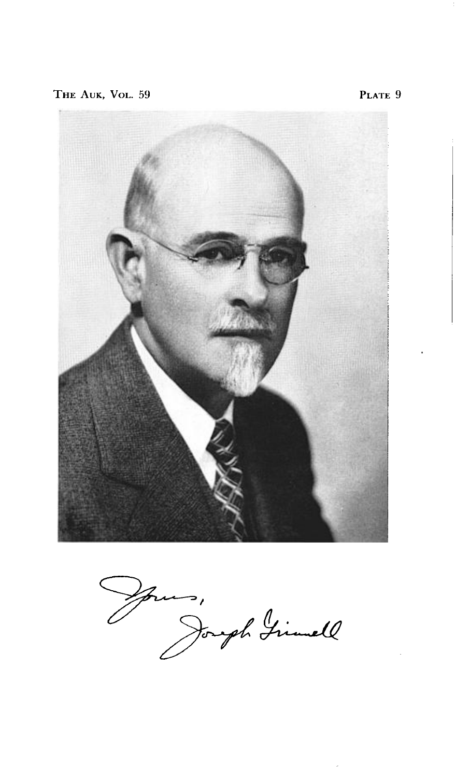**THE AUK, VOL. 59 PLATE 9** 



ms,<br>Joseph Frienell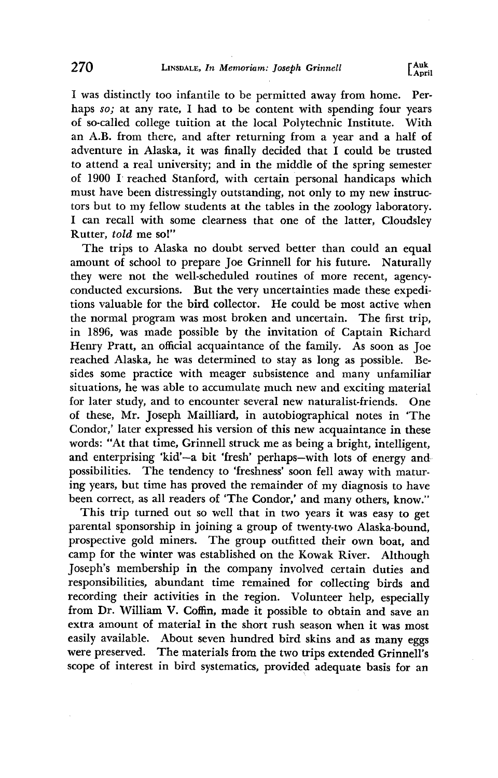**! was distinctly too infantile to be permitted away from home. Perhaps so; at any rate, I had to be content with spending four years of so-called college tuition at the local Polytechnic Institute. With an A.B. from there, and after returning from a year and a half of adventure in Alaska, it was finally decided that I could be trusted to attend a real university; and in the middle of the spring semester of 1900 I reached Stanford, with certain personal handicaps which must have been distressingly outstanding, not only to my new instructors but to my fellow students at the tables in the zoology laboratory. ! can recall with some clearness that one of the latter, Cloudsley Rutter, told me sol"** 

**The trips to Alaska no doubt served better than could an equal amount of school to prepare Joe Grinnell for his future. Naturally they were not the well-scheduled routines of more recent, agencyconducted excursions. But the very uncertainties made these expeditions valuable for the bird collector. He could be most active when the normal program was most broken and uncertain. The first trip, in 1896, was made possible by the invitation of Captain Richard Henry Pratt, an official acquaintance of the family. As soon as Joe reached Alaska, he was determined to stay as long as possible. Besides some practice with meager subsistence and many unfamiliar situations, he was able to accumulate much new and exciting material**  for later study, and to encounter several new naturalist-friends. **of these, Mr. Joseph Mailliard, in autobiographical notes in 'The Condor,' later expressed his version of this new acquaintance in these words: "At that time, Grinnell struck me as being a bright, intelligent,**  and enterprising 'kid'--a bit 'fresh' perhaps-with lots of energy and **possibilities. The tendency to 'freshness' soon fell away with maturing years, but time has proved the remainder of my diagnosis to have been correct, as all readers of 'The Condor,' and many others, know."** 

**This trip turned out so well that in two years it was easy to get**  parental sponsorship in joining a group of twenty-two Alaska-bound, **prospective gold miners. The group outfitted their own boat, and camp for the winter was established on the Kowak River. Although Joseph's membership in the company involved certain duties and responsibilities, abundant time remained for collecting birds and recording their activities in the region. Volunteer help, especially from Dr. William V. Coffin, made it possible to obtain and save an extra amount of material in the short rush season when it was most easily available. About seven hundred bird skins and as many eggs were preserved. The materials from the two trips extended Grinnell's scope of interest in bird systematics, provided adequate basis for an**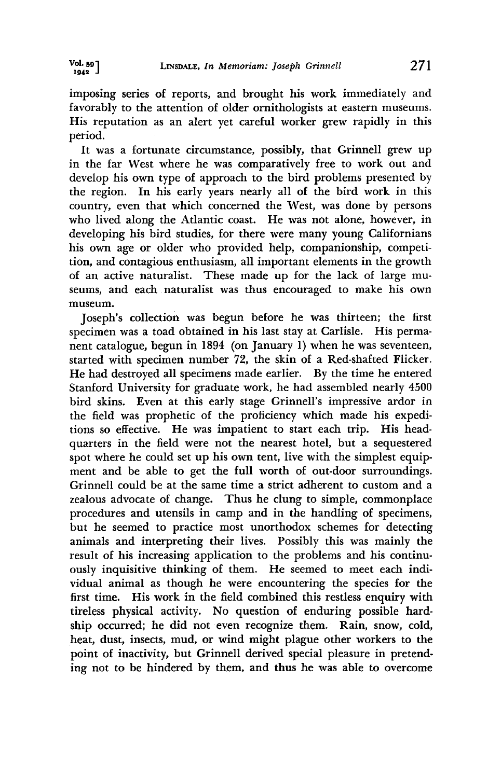**imposing series of reports, and brought his work immediately and favorably to the attention of older ornithologists at eastern museums. His reputation as an alert yet careful worker grew rapidly in this period.** 

**It was a fortunate circumstance, possibly, that Grinnell grew up in the far West where he was comparatively free to work out and develop his own type of approach to the bird problems presented by the region. In his early years nearly all of the bird work in this country, even that which concerned the West, was done by persons who lived along the Atlantic coast. He was not alone, however, in developing his bird studies, for there were many young Californians his own age or older who provided help, companionship, competition, and contagious enthusiasm, all important elements in the growth of an active naturalist. These made up for the lack of large museums, and each naturalist was thus encouraged to make his own museum.** 

**Joseph's collection was begun before he was thirteen; the first specimen was a toad obtained in his last stay at Carlisle. His permanent catalogue, begun in 1894 (on January I) when he was seventeen,**  started with specimen number 72, the skin of a Red-shafted Flicker. **He had destroyed all specimens made earlier. By the time he entered Stanford University for graduate work, he had assembled nearly 4500 bird skins. Even at this early stage Grinnell's impressive ardor in the field was prophetic of the proficiency which made his expeditions so effective. He was impatient to start each trip. His headquarters in the field were not the nearest hotel, but a sequestered spot where he could set up his own tent, live with the simplest equipment and be able to get the full worth of out-door surroundings. Grinnell could be at the same time a strict adherent to custom and a zealous advocate of change. Thus he clung to simple, commonplace procedures and utensils in camp and in the handling of specimens, but he seemed to practice most unorthodox schemes for detecting animals and interpreting their lives. Possibly this was mainly the result of his increasing application to the problems and his continuously inquisitive thinking of them. He seemed to meet each individual animal as though he were encountering the species for the first time. His work in the field combined this restless enquiry with tireless physical activity. No question of enduring possible hardship occurred; he did not even recognize them. Rain, snow, cold, heat, dust, insects, mud, or wind might plague other workers to the point of inactivity, but Grinnell derived special pleasure in pretending not to be hindered by them, and thus he was able to overcome**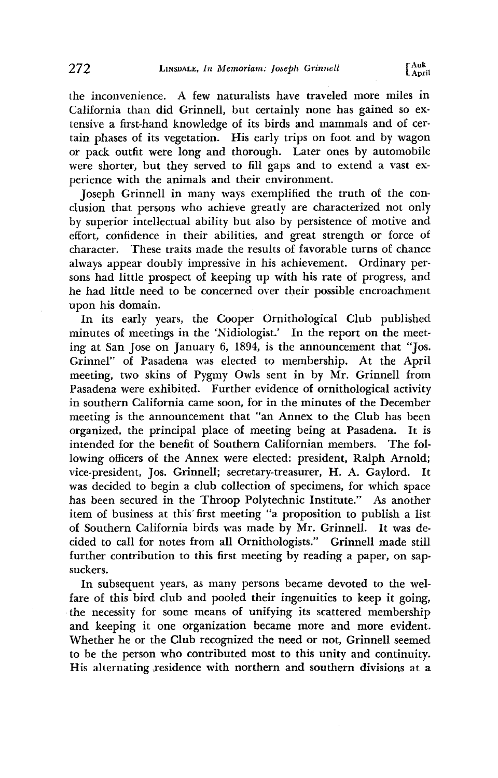**the inconvenience. A few naturalists have traveled more miles in California than did Grinnell, but certainly none has gained so extensive a first-hand knowledge of its birds and mammals and of certain phases of its vegetation. His early trips on foot and by wagon or pack outfit were long and thorough. Later ones by automobile were shorter, but they served to fill gaps and to extend a vast experience with the animals and their environment.** 

**Joseph Grinnell in many ways exemplified the truth of the conclusion that persons who achieve greatly are characterized not only**  by superior intellectual ability but also by persistence of motive and **effort, confidence in their abilities, and great strength or force of character. These traits made the results of favorable turns of chance always appear doubly impressive in his achievement. Ordinary persons had little prospect of keeping up with his rate of progress, and he had little need to be concerned over their possible encroachment upon his domain.** 

**In its early years, the Cooper Ornithological Club published minutes of meetings in the 'Nidiologist.' In the report on the meeting at San Jose on January 6, 1894, is the announcement that "Jos. Grinnel" of Pasadena was elected to membership. At the April meeting, two skins of Pygmy Owls sent in by Mr. Grinnell from Pasadena were exhibited. Further evidence of ornithological activity in southern California came soon, for in the minutes of the December**  meeting is the announcement that "an Annex to the Club has been organized, the principal place of meeting being at Pasadena. It is organized, the principal place of meeting being at Pasadena. **intended for the benefit of Southern Californian members. The following officers of the Annex were elected: president, Ralph Arnold; vice-president, Jos. Grinnell; secretary-treasurer, H. A. Gaylord. It was decided to begin a club collection of specimens, for which space has been secured in the Throop Polytechnic Institute." As another**  item of business at this first meeting "a proposition to publish a list **of Southern California birds was made by Mr. Grinnell. It was decided to call for notes from all Ornithologists." Grinnell made still further contribution to this first meeting by reading a paper, on sapsuckers.** 

**In subsequent years, as many persons became devoted to the welfare of this bird club and pooled their ingenuities to keep it going, the necessity for some means of unifying its scattered membership and keeping it one organization became more and more evident. Whether he or the Club recognized the need or not, Grinnell seemed to be the person who contributed most to this unity and continuity. His alternating ,residence with northern and southern divisions at a**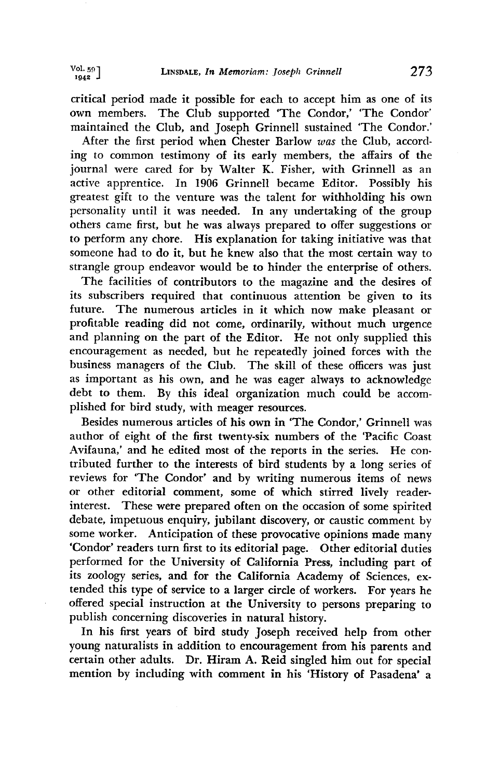**critical period made it possible for each to accept him as one of its own members. The Glub supported 'The Gondor,' 'The Condor' maintained the Club, and Joseph Grinnell sustained 'The Gondor.'** 

**After the first period when Ghester Barlow was the Club, according to common testimony of its early members, the affairs of the journal were cared for by Walter K. Fisher, with Grinnell as an active apprentice. In 1906 Grinnell became Editor. Possibly his greatest gift to the venture was the talent for withholding his own personality until it was needed. In any undertaking of the group others came first, but he was always prepared to offer suggestions or to perform any chore. His explanation for taking initiative was that someone had to do it, but he knew also that the most certain way to strangle group endeavor would be to hinder the enterprise of others.** 

**The facilities of contributors to the magazine and the desires of its subscribers required that continuous attention be given to its future. The numerous articles in it which now make pleasant or profitable reading did not come, ordinarily, without much urgence and planning on the part of the Editor. He not only supplied this encouragement as needed, but he repeatedly joined forces with the business managers of the Glub. The skill of these officers was just as important as his own, and he was eager always to acknowledge debt to them. By this ideal organization much could be accomplished for bird study, with meager resources.** 

**Besides numerous articles of his own in 'The Gondor,' Grinnell was author of eight of the first twenty-six numbers of the 'Pacific Coast Avifauna,' and he edited most of the reports in the series. He contributed further to the interests of bird students by a long series of reviews for 'The Condor' and by writing numerous items of news or other editorial comment, some of which stirred lively readerinterest. These were prepared often on the occasion of some spirited debate, impetuous enquiry, jubilant discovery, or caustic comment by some worker. Anticipation of these provocative opinions made many 'Gondor' readers turn first to its editorial page. Other editorial duties performed for the University of Galifornia Press, including part of its zoology series, and for the Galifornia Academy of Sciences, extended this type of service to a larger circle of workers. For years he offered special instruction at the University to persons preparing to publish concerning discoveries in natural history.** 

**In his first years of bird study Joseph received help from other young naturalists in addition to encouragement from his parents and certain other adults. Dr. Hiram A. Reid singled him out for special mention by including with comment in his 'History of Pasadena' a**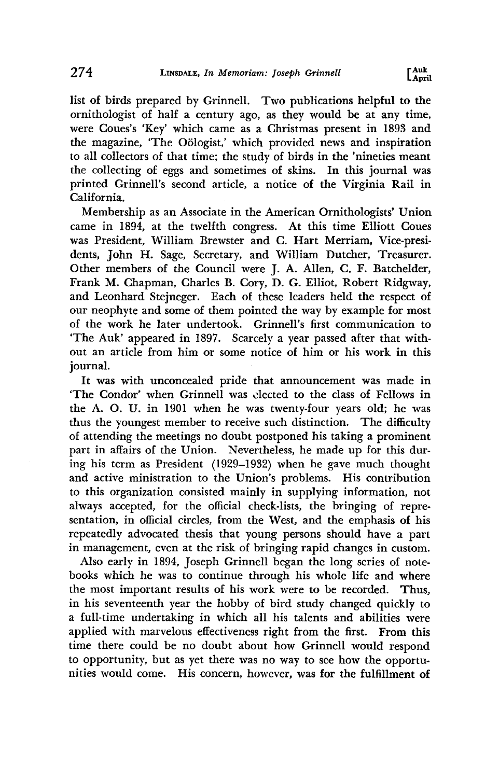**list of birds prepared by Grinnell. Two publications helpful to the ornithologist of half a century ago, as they would be at any time, were Coues's 'Key' which came as a Christmas present in 1893 and the magazine, 'The O61ogist,' which provided news and inspiration to all collectors of that time; the study of birds in the 'nineties meant the collecting of eggs and sometimes of skins. In this journal was printed Grinnell's second article, a notice of the Virginia Rail in California.** 

**Membership as an Associate in the American Ornithologists' Union came in 1894, at the twelfth congress. At this time Elliott Coues was President, William Brewster and C. Hart Merriam, Vice-presidents, John H. Sage, Secretary, and William Dutcher, Treasurer. Other members of the Council were J. A. Allen, C. F. Batchelder, Frank M. Chapman, Charles B. Cory, D. G. Elliot, Robert Ridgway, and Leonhard Stejneger. Each of these leaders held the respect of our neophyte and some of them pointed the way by example for most of the work he later undertook. Grinnell's first communication to 'The Auk' appeared in 1897. Scarcely a year passed after that without an article from him or some notice of him or his work in this journal.** 

**It was with unconcealed pride that announcement was made in 'The Condor' when Grinnell was elected to the class of Fellows in the A. O. U. in 1901 when he was twenty-four years old; he was thus the youngest member to receive such distinction. The difficulty of attending the meetings no doubt postponed his taking a prominent part in affairs of the Union. Nevertheless, he made up for this during his term as President (1929-1932) when he gave much thought and active ministration to the Union's problems. His contribution to this organization consisted mainly in supplying information, not always accepted, for the official check-lists, the bringing of representation, in official circles, from the West, and the emphasis of his repeatedly advocated thesis that young persons should have a part in management, even at the risk of bringing rapid changes in custom.** 

**Also early in 1894, Joseph Grinnell began the long series of notebooks which he was to continue through his whole life and where the most important results of his work were to be recorded. Thus, in his seventeenth year the hobby of bird study changed quickly to a full-time undertaking in which all his talents and abilities were applied with marvelous effectiveness right from the first. From this time there could be no doubt about how Grinnell would respond to opportunity, but as yet there was no way to see how the opportunities would come. His concern, however, was for the fulfillment of**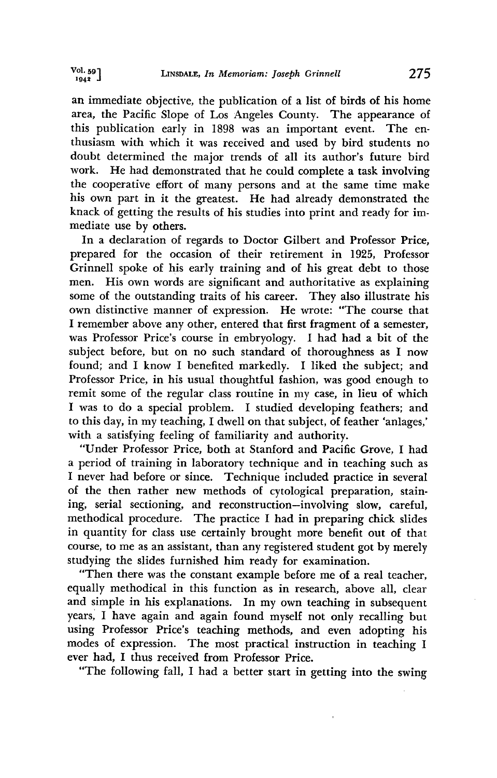**an immediate objective, the publication of a list of birds of his home area, the Pacific Slope of Los Angeles County. The appearance of**  this publication early in 1898 was an important event. The en**thusiasm with which it was received and used by bird students no doubt determined the major trends of all its author's future bird work. He had demonstrated that he could complete a task involving**  the cooperative effort of many persons and at the same time make **his own part in it the greatest. He had already demonstrated the knack of getting the results of his studies into print and ready for immediate use by others.** 

**In a declaration of regards to Doctor Gilbert and Professor Price, prepared for the occasion of their retirement in 1925, Professor Grinnell spoke of his early training and of his great debt to those men. His own words are significant and authoritative as explaining some of the outstanding traits of his career. They also illustrate his own distinctive manner of expression. He wrote: "The course that I remember above any other, entered that first fragment of a semester, was Professor Price's course in embryology. I had had a bit of the subject before, but on no such standard of thoroughness as ! now found; and I know I benefited markedly. I liked the subject; and Professor Price, in his usual thoughtful fashion, was good enough to remit some of the regular class routine in my case, in lieu of which I was to do a special problem. I studied developing feathers; and to this day, in my teaching, Idwell on that subject, of feather 'anlages,' with a satisfying feeling of familiarity and authority.** 

**"Under Professor Price, both at Stanford and Pacific Grove, I had a period of training in laboratory technique and in teaching such as I never had before or since. Technique included practice in several of the then rather new methods of cytological preparation, staining, serial sectioning, and reconstruction--involving slow, careful, methodical procedure. The practice Ihad in preparing chick slides in quantity for class use certainly brought more benefit out of that course, to me as an assistant, than any registered student got by merely studying the slides furnished him ready for examination.** 

**"Then there was the constant example before me of a real teacher, equally methodical in this function as in research, above all, clear and simple in his explanations. In my own teaching in subsequent years, Ihave again and again found myself not only recalling but using Professor Price's teaching methods, and even adopting his modes of expression. The most practical instruction in teaching I ever had, I thus received from Professor Price.** 

**"The following fall, I had a better start in getting into the swing**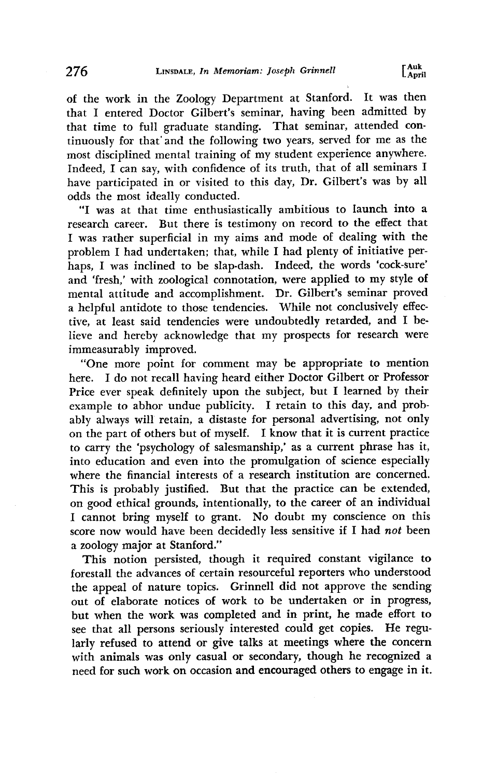**of the work in the Zoology Department at Stanford. It was then that I entered Doctor Gilbert's seminar, having been admitted by that time to full graduate standing. That seminar, attended continuously for that' and the following two years, served for me as the most disciplined mental training of my student experience anywhere.**  Indeed, I can say, with confidence of its truth, that of all seminars I **have participated in or visited to this day, Dr. Gilbert's was by all odds the most ideally conducted.** 

**"! was at that time enthusiastically ambitious to launch into a research career. But there is testimony on record to the effect that I was rather superficial in my aims and mode of dealing with the**  problem I had undertaken; that, while I had plenty of initiative per**haps, I was inclined to be slap-dash. Indeed, the words 'cock-sure' and 'fresh,' with zoological connotation, were applied to my style of mental attitude and accomplishment. Dr. Gilbert's seminar proved**  a helpful antidote to those tendencies. While not conclusively effec**tive, at least said tendencies were undoubtedly retarded, and I believe and hereby acknowledge that my prospects for research were immeasurably improved.** 

**"One more point for comment may be appropriate to mention here. I do not recall having heard either Doctor Gilbert or Professor Price ever speak definitely upon the subject, but I learned by their example to abhor undue publicity. I retain to this day, and probably always will retain, a distaste for personal advertising, not only on the part of others but of myself. I know that it is current practice**  to carry the 'psychology of salesmanship,' as a current phrase has it, into education and even into the promulgation of science especially **where the financial interests of a research institution are concerned. This is probably justified. But that the practice can be extended, on good ethical grounds, intentionally, to the career of an individual I cannot bring myself to grant. No doubt my conscience on this score now would have been decidedly less sensitive if I had not been a zoology major at Stanford."** 

**This notion persisted, though it required constant vigilance to forestall the advances of certain resourceful reporters who understood the appeal of nature topics. Grinnell did not approve the sending out of elaborate notices of work to be undertaken or in progress, but when the work was completed and in print, he made effort to see that all persons seriously interested could get copies. He regularly refused to attend or give talks at meetings where the concern with animals was only casual or secondary, though he recognized a need for such work on occasion and encouraged others to engage in it.**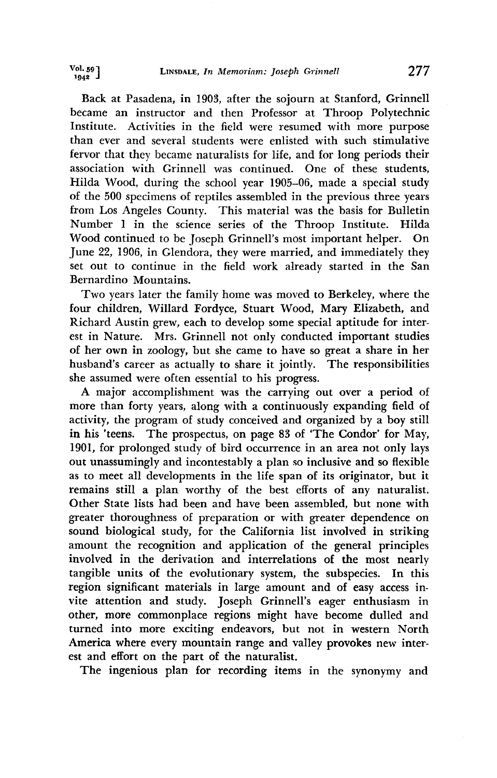Back at Pasadena, in 1903, after the sojourn at Stanford, Grinnell **became an instructor and then Professor at Throop Polytechnic Institute. Activities in the field were resumed with more purpose than ever and several students were enlisted with such stimulative fervor that they became naturalists for life, and for long periods their association with Grinnell was continued. One of these students, Hilda Wood, during the school year 1905-06, made a special study of the 500 specimens of reptiles assembled in the previous three years from Los Angeles County. This material was the basis for Bulletin Number 1 in the science series of the Throop Institute. Hilda**  Wood continued to be Joseph Grinnell's most important helper. **June 22, 1906, in Glendora, they were married, and immediately they set out to continue in the field work already started in the San Bernardino Mountains.** 

**Two years later the family home was moved to Berkeley, where the four children, Willard Fordyce, Stuart Wood, Mary Elizabeth, and Richard Austin grew, each to develop some special aptitude for interest in Nature. Mrs. Grinnell not only conducted important studies of her own in zoology, but she came to have so great a share in her husband's career as actually to share it jointly. The responsibilities she assumed were often essential to his progress.** 

**A major accomplishment was the carrying out over a period of more than forty years, along with a continuously expanding field of**  activity, the program of study conceived and organized by a boy still in his 'teens. The prospectus, on page 83 of 'The Condor' for May, **1901, for prolonged study of bird occurrence in an area not only lays out unassumingly and incontestably a plan so inclusive and so flexible as to meet all developments in the life span of its originator, but it remains still a plan worthy of the best efforts of any naturalist. Other State lists had been and have been assembled, but none with greater thoroughness of preparation or with greater dependence on sound biological study, for the California list involved in striking amount the recognition and application of the general principles involved in the derivation and interrelations of the most nearly tangible units of the evolutionary system, the subspecies. In this region significant materials in large amount and of easy access invite attention and study. Joseph Grinnell's eager enthusiasm in other, more commonplace regions might have become dulled and turned into more exciting endeavors, but not in western North America where every mountain range and valley provokes new interest and effort on the part of the naturalist.** 

**The ingenious plan for recording items in the synonymy and**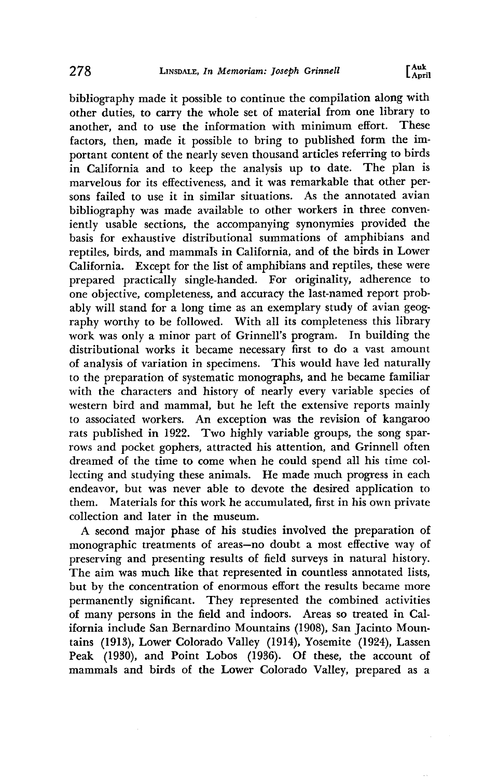**bibliography made it possible to continue the compilation along with other duties, to carry the whole set of material from one library to**  another, and to use the information with minimum effort. **factors, then, made it possible to bring to published form the important content of the nearly seven thousand articles referring to birds in California and to keep the analysis up to date. The plan is marvelous for its effectiveness, and it was remarkable that other per**sons failed to use it in similar situations. As the annotated avian **bibliography was made available to other workers in three conveniently usable sections, the accompanying synonymies provided the basis for exhaustive distributional summations of amphibians and reptiles, birds, and mammaIs in California, and of the birds in Lower California. Except for the list of amphibians and reptiles, these were prepared practically single-handed. For originality, adherence to** 

**one objective, completeness, and accuracy the last-named report probably will stand for a long time as an exemplary study of avian geography worthy to be followed. With all its completeness this library work was only a minor part of Grinnell's program. In building the distributional works it became necessary first to do a vast amount of analysis of variation in specimens. This would have led naturally to the preparation of systematic monographs, and he became familiar with the characters and history of nearly every variable species of western bird and mammal, but he left the extensive reports mainly to associated workers. An exception was the revision of kangaroo rats published in 1922. Two highly variable groups, the song sparrows and pocket gophers, attracted his attention, and Grinnell often dreamed of the time to come when he could spend all his time collecting and studying these animals. He made much progress in each endeavor, but was never able to devote the desired application to**  Materials for this work he accumulated, first in his own private **collection and later in the museum.** 

**A second major phase of his studies involved the preparation of monographic treatments of areas--no doubt a most effective way of preserving and presenting results of field surveys in natural history. The aim was much like that represented in countless annotated lists, but by the concentration of enormous effort the results became more permanently significant. They represented the combined activities of many persons in the field and indoors. Areas so treated in California include San Bernardino Mountains (1908), San Jacinto Mountains (1913), Lower Colorado Valley (1914), Yosemite (1924), Lassen Peak (1930), and Point Lobos (1936). Of these, the account of mammals and birds of the Lower Colorado Valley, prepared as a**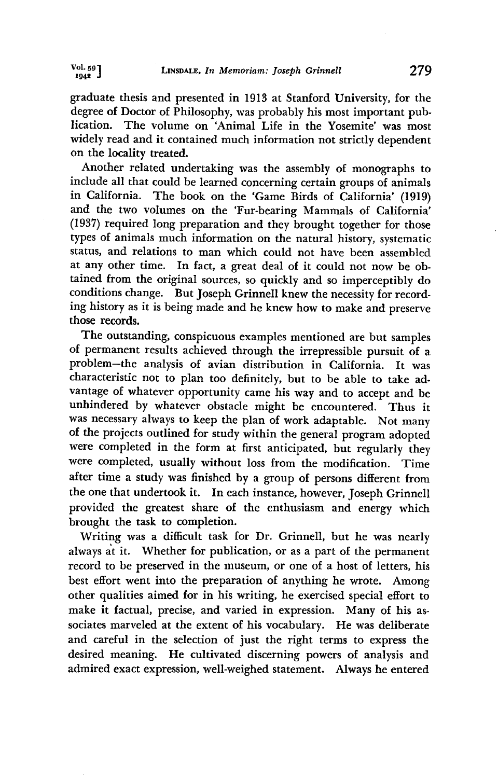**graduate thesis and presented in 1913 at Stanford University, for the degree of Doctor of Philosophy, was probably his most important publication. The volume on 'Animal Life in the Yosemite' was most**  widely read and it contained much information not strictly dependent **on the locality treated.** 

**Another related undertaking was the assembly of monographs to include all that could be learned concerning certain groups of animals in Galifornia. The book on the 'Game Birds of Galifornia' (1919) and the two volumes on the 'Fur-bearing Mammals of Galifornia'**  (1937) required long preparation and they brought together for those **types of animals much information on the natural history, systematic status, and relations to man which could not have been assembled at any other time. In fact, a great deal of it could not now be obtained from the original sources, so quickly and so imperceptibly do conditions change. But Joseph Grinnell knew the necessity for recording history as it is being made and he knew how to make and preserve those records.** 

**The outstanding, conspicuous examples mentioned are but samples of permanent results achieved through the irrepressible pursuit of a problem-the analysis of avian distribution in Galifornia. It was characteristic not to plan too definitely, but to be able to take advantage of whatever opportunity came his way and to accept and be unhindered by whatever obstacle might be encountered. Thus it was necessary always to keep the plan of work adaptable. Not many of the projects outlined for study within the general program adopted**  were completed in the form at first anticipated, but regularly they **were completed, usually without loss from the modification. Time after time a study was finished by a group of persons different from the one that undertook it. In each instance, however, Joseph Grinnell provided the greatest share of the enthusiasm and energy which brought the task to completion.** 

Writing was a difficult task for Dr. Grinnell, but he was nearly **always at it. Whether for publication, or as a part of the permanent record to be preserved in the museum, or one of a host of letters, his best effort went into the preparation of anything he wrote. Among other qualities aimed for in his writing, he exercised special effort to make it factual, precise, and varied in expression. Many of his associates marveled at the extent of his vocabulary. He was deliberate and careful in the selection of just the right terms to express the desired meaning. He cultivated discerning powers of analysis and admired exact expression, well-weighed statement. Always he entered**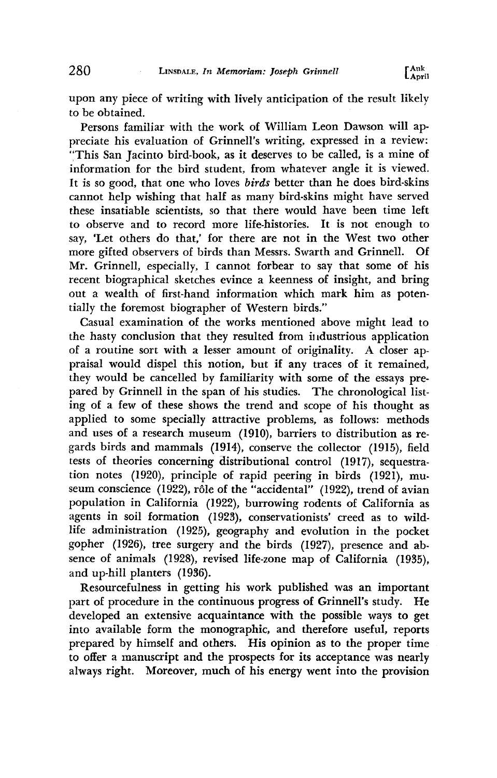**upon any piece of writing with lively anticipation of the result likely to be obtained.** 

**Persons familiar with the work of William Leon Dawson will appreciate his evaluation of Grinnell's writing, expressed in a review: 'iThis San Jacinto bird-book, as it deserves to be called, is a mine of information for the bird student, from whatever angle it is viewed. It is so good, that one who loves birds better than he does bird-skins cannot help wishing that half as many bird-skins might have served these insatiable scientists, so that there would have been time left to observe and to record more life-histories. It is not enough to say, 'Let others do that,' for there are not in the West two other**  more gifted observers of birds than Messrs. Swarth and Grinnell. **Mr. Grinnell, especially, Icannot forbear to say that some of his recent biographical sketches evince a keenness of insight, and bring out a wealth of first-hand information which mark him as potentially the foremost biographer of Western birds."** 

**Casual examination of the works mentioned above might lead to**  the hasty conclusion that they resulted from industrious application **of a routine sort with a lesser amount of originality. A closer appraisal would dispel this notion, but if any traces of it remained, they would be cancelled by familiarity with some of the essays prepared by Grinnell in the span of his studies. The chronological listing of a few of these shows the trend and scope of his thought as applied to some specially attractive problems, as follows: methods and uses of a research museum (1910), barriers to distribution as regards birds and mammals (1914), conserve the collector (1915), field tests of theories concerning distributional control (1917), sequestration notes (1920), principle of rapid peering in birds (1921), museum conscience (1922), r61e of the "accidental" (1922), trend of avian population in California (1922), burrowing rodents of California as agents in soil formation (1923), conservationists' creed as to wildlife administration (1925), geography and evolution in the pocket gopher (1926), tree surgery and the birds (1927), presence and absence of animals (1928), revised life-zone map of California (1935), and up-hill planters (1936).** 

**Resourcefulness ingetting his work published was an important part of procedure in the continuous progress of Grinnell's study. He developed an extensive acquaintance with the possible ways to get into available form the monographic, and therefore useful, reports prepared by himself and others. His opinion as to the proper time to offer a manuscript and the prospects for its acceptance was nearly always right. Moreover, much of his energy went into the provision**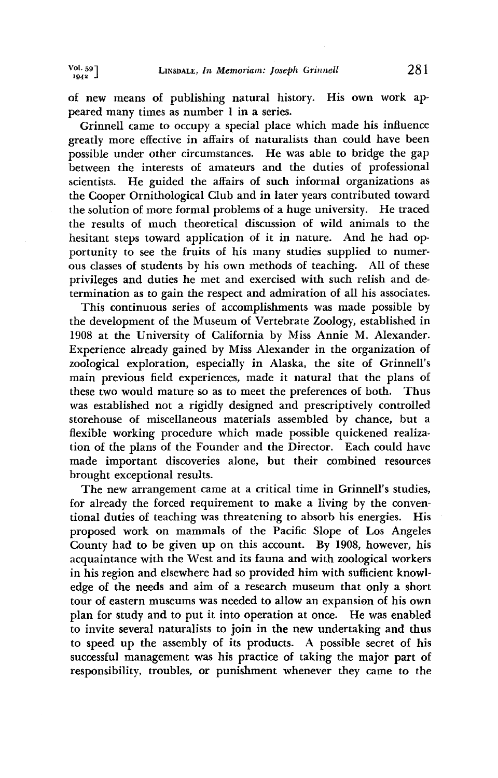**of new means of publishing natural history. His own work appeared many times as number 1 in a series.** 

**Grinnell came to occupy a special place which made his influence greatly more effective in affairs of naturalists than could have been possible under other circumstances. He was able to bridge the gap between the interests of amateurs and the duties of professional scientists. He guided the affairs of such informal organizations as the Cooper Ornithological Club and in later years contributed toward the solution of more formal problems of a huge university. He traced the results of much theoretical discussion of wild animals to the hesitant steps toward application of it in nature. And he had opportunity to see the fruits of his many studies supplied to numerous classes of students by his own methods of teaching. All of these privileges and duties he met and exercised with such relish and determination as to gain the respect and admiration of all his associates.** 

**This continuous series of accomplishments was made possible by the development of the Museum of Vertebrate Zoology, established in 1908 at the University of California by Miss Annie M. Alexander. Experience already gained by Miss Alexander in the organization of zoological exploration, especially in Alaska, the site of Grinnell's main previous field experiences, made it natural that the plans of these two would mature so as to meet the preferences of both. Thus was established not a rigidly designed and prescriptively controlled storehouse of miscellaneous materials assembled by chance, but a flexible working procedure which made possible quickened realization of the plans of the Founder and the Director. Each could have made important discoveries alone, but their combined resources brought exceptional results.** 

**The new arrangement came at a critical time in Grinnell's studies, for already the forced requirement to make a living by the conven**tional duties of teaching was threatening to absorb his energies. **proposed work on mammals of the Pacific Slope of Los Angeles County had to be given up on this account. By 1908, however, his acquaintance with the West and its fauna and with zoological workers in his region and elsewhere had so provided him with sufficient knowledge of the needs and aim of a research museum that only a short tour of eastern museums was needed to allow an expansion of his own plan for study and to put it into operation at once. He was enabled to invite several naturalists to join in the new undertaking and thus to speed up the assembly of its products. A possible secret of his successful management was his practice of taking the major part of responsibility, troubles, or punishment whenever they came to the**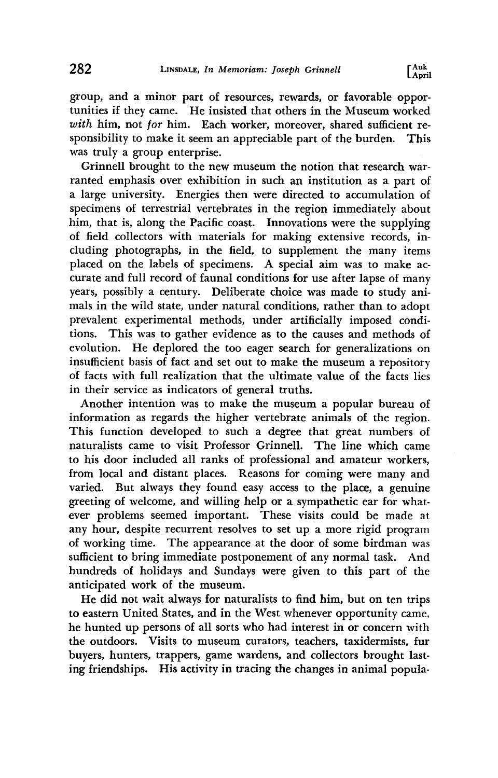group, and a minor part of resources, rewards, or favorable oppor**tunities if they came. He insisted that others in the Museum worked**  with him, not for him. Each worker, moreover, shared sufficient responsibility to make it seem an appreciable part of the burden. This **was truly a group enterprise.** 

**Grinnell brought to the new museum the notion that research warranted emphasis over exhibition in such an institution as a part of**  a large university. Energies then were directed to accumulation of specimens of terrestrial vertebrates in the region immediately about **him, that is, along the Pacific coast. Innovations were the supplying of field collectors with materials for making extensive records, including photographs, in the field, to supplement the many items placed on the labels of specimens. A special aim was to make ac**curate and full record of faunal conditions for use after lapse of many **years, possibly a century. Deliberate choice was made to study animals in the wild state, under natural conditions, rather than to adopt prevalent experimental methods, under artificially imposed condi-**This was to gather evidence as to the causes and methods of **evolution. He deplored the too eager search for generalizations on**  insufficient basis of fact and set out to make the museum a repository of facts with full realization that the ultimate value of the facts lies in their service as indicators of general truths.

**Another intention was to make the museum a popular bureau of**  information as regards the higher vertebrate animals of the region. This function developed to such a degree that great numbers of **naturalists came to visit Professor Grinnell. The line which came to his door included all ranks of professional and amateur workers, from local and distant places. Reasons for coming were many and varied. But always they found easy access to the place, a genuine greeting of welcome, and willing help or a sympathetic ear for whatever problems seemed important. These visits could be made at any hour, despite recurrent resolves to set up a more rigid program of working time. The appearance at the door of some birdman was**  sufficient to bring immediate postponement of any normal task. And hundreds of holidays and Sundays were given to this part of the **anticipated work of the museum.** 

**He did not wait always for naturalists to find him, but on ten trips to eastern United States, and in the West whenever opportunity came, he hunted up persons of all sorts who had interest in or concern with the outdoors. Visits to museum curators, teachers, taxidermists, fur buyers, hunters, trappers, game wardens, and collectors brought last**ing friendships. His activity in tracing the changes in animal popula-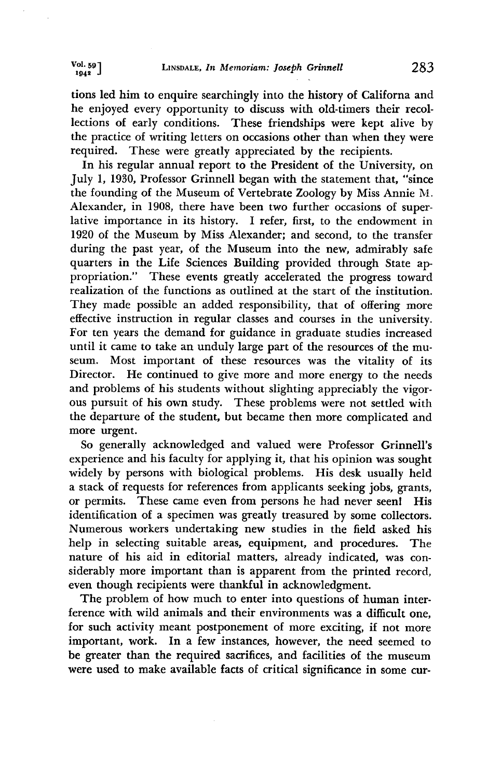**tions led him to enquire searchingly into the history of Californa and he enjoyed every opportunity to discuss with old-timers their recollections of early conditions. These friendships were kept alive by the practice of writing letters on occasions other than when they were required. These were greatly appreciated by the recipients.** 

**In his regular annual report to the President of the University, on July 1, 1930, Professor Grinnell began with the statement that, "since the founding of the Museum of Vertebrate Zoology by Miss Annie M. Alexander, in 1908, there have been two further occasions of superlative importance in its history. I refer, first, to the endowment in 1920 of the Museum by Miss Alexander; and second, to the transfer during the past year, of the Museum into the new, admirably safe quarters in the Life Sciences Building provided through State appropriation." These events greatly accelerated the progress toward realization of the functions as outlined at the start of the institution. They made possible an added responsibility, that of offering more effective instruction in regular classes and courses in the university. For ten years the demand for guidance in graduate studies increased until it came to take an unduly large part of the resources of the museum. Most important of these resources was the vitality of its Director. He continued to give more and more energy to the needs and problems of his students without slighting appreciably the vigorous pursuit of his own study. These problems were not settled with the departure of the student, but became then more complicated and more urgent.** 

**So generally acknowledged and valued were Professor Grinnell's experience and his faculty for applying it, that his opinion was sought widely by persons with biological problems. His desk usually held**  a stack of requests for references from applicants seeking jobs, grants, or permits. These came even from persons he had never seen! His or permits. These came even from persons he had never seen! **identification of a specimen was greatly treasured by some collectors. Numerous workers undertaking new studies in the field asked his**  help in selecting suitable areas, equipment, and procedures. **nature of his aid in editorial matters, already indicated, was considerably more important than is apparent from the printed record, even though recipients were thankful in acknowledgment.** 

**The problem of how much to enter into questions of human interference with wild animals and their environments was a difficult one, for such activity meant postponement of more exciting, if not more important, work. In a few instances, however, the need seemed to be greater than the required sacrifices, and facilities of the museum were used to make available facts of critical significance in some cur-**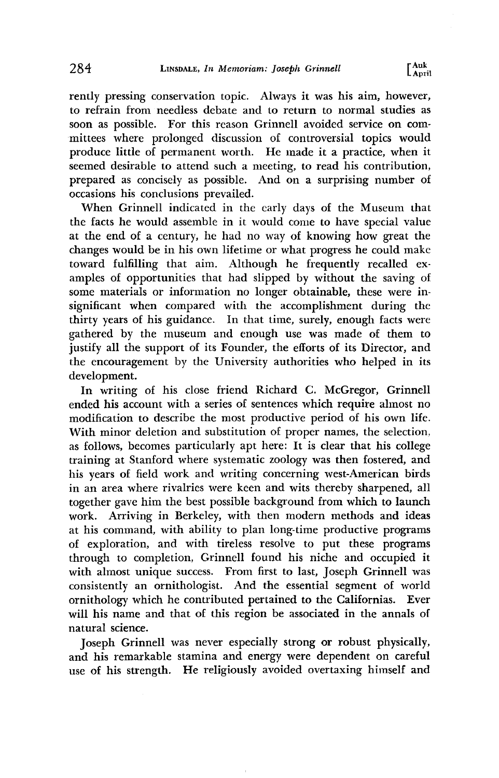**rently pressing conservation topic. Always it was his aim, however, to refrain from needless debate and to return to normal studies as soon as possible. For this reason Grinnell avoided service on committees where prolonged discussion of controversial topics would produce little of permanent worth. He •nade it a practice, when it seemed desirable to attend such a meeting, to read his contribution, prepared as concisely as possible. And on a surprising number of occasions his conclusions prevailed.** 

**When Grinnell indicated in the early days of the Museum that the facts he would assemble in it would come to have special value at the end of a century, he had no way of knowing how great the changes would be in his own lifetime or what progress he could make toward fulfilling that aim. Although he frequently recalled examples of opportunities that had slipped by without the saving of some materials or information no longer obtainable, these were insignificant when compared with the accomplishment during the thirty years of his guidance. In that time, surely, enough facts were gathered by the museum and enough use was made of them to justify all the support of its Founder, the efforts of its Director, and the encouragement by the University authorities who helped in its development.** 

**In writing of his close friend Richard C. McGregor, Grinnell ended his account with a series of sentences which require ahnost no modification to describe the most productive period of his own life. With minor deletion and substitution of proper names, the selection, as follows, becomes particularly apt here: It is clear that his college training at Stanford where systematic zoology was then fostered, and his years of field work and writing concerning west-American birds in an area where rivalries were keen and wits thereby sharpened, all together gave him the best possible background from which to launch work. Arriving in Berkeley, with then modern methods and ideas at his command, with ability to plan long-time productive programs of exploration, and with tireless resolve to put these programs through to completion, Grinnell found his niche and occupied it with almost unique success. From first to last, Joseph Grinnell was consistently an ornithologist. And the essential segment of world ornithology which he contributed pertained to the Californias. Ever will his name and that of this region be associated in the annals of natural science.** 

**Joseph Grinnell was never especially strong or robust physically, and his remarkable stamina and energy were dependent on careful use of his strength. He religiously avoided overtaxing himself and**